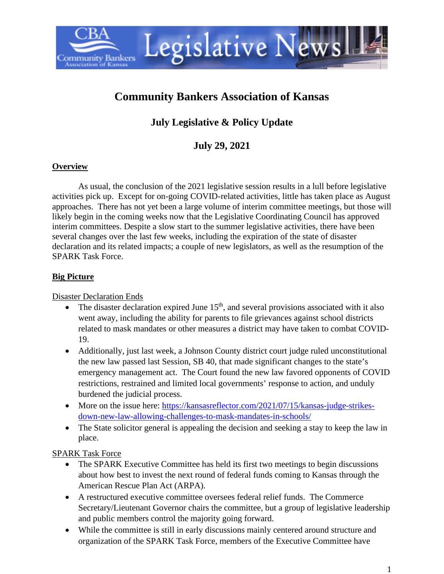

# **Community Bankers Association of Kansas**

## **July Legislative & Policy Update**

## **July 29, 2021**

#### **Overview**

As usual, the conclusion of the 2021 legislative session results in a lull before legislative activities pick up. Except for on-going COVID-related activities, little has taken place as August approaches. There has not yet been a large volume of interim committee meetings, but those will likely begin in the coming weeks now that the Legislative Coordinating Council has approved interim committees. Despite a slow start to the summer legislative activities, there have been several changes over the last few weeks, including the expiration of the state of disaster declaration and its related impacts; a couple of new legislators, as well as the resumption of the SPARK Task Force.

#### **Big Picture**

Disaster Declaration Ends

- The disaster declaration expired June  $15<sup>th</sup>$ , and several provisions associated with it also went away, including the ability for parents to file grievances against school districts related to mask mandates or other measures a district may have taken to combat COVID-19.
- Additionally, just last week, a Johnson County district court judge ruled unconstitutional the new law passed last Session, SB 40, that made significant changes to the state's emergency management act. The Court found the new law favored opponents of COVID restrictions, restrained and limited local governments' response to action, and unduly burdened the judicial process.
- More on the issue here: [https://kansasreflector.com/2021/07/15/kansas-judge-strikes](https://kansasreflector.com/2021/07/15/kansas-judge-strikes-down-new-law-allowing-challenges-to-mask-mandates-in-schools/)[down-new-law-allowing-challenges-to-mask-mandates-in-schools/](https://kansasreflector.com/2021/07/15/kansas-judge-strikes-down-new-law-allowing-challenges-to-mask-mandates-in-schools/)
- The State solicitor general is appealing the decision and seeking a stay to keep the law in place.

#### SPARK Task Force

- The SPARK Executive Committee has held its first two meetings to begin discussions about how best to invest the next round of federal funds coming to Kansas through the American Rescue Plan Act (ARPA).
- A restructured executive committee oversees federal relief funds. The Commerce Secretary/Lieutenant Governor chairs the committee, but a group of legislative leadership and public members control the majority going forward.
- While the committee is still in early discussions mainly centered around structure and organization of the SPARK Task Force, members of the Executive Committee have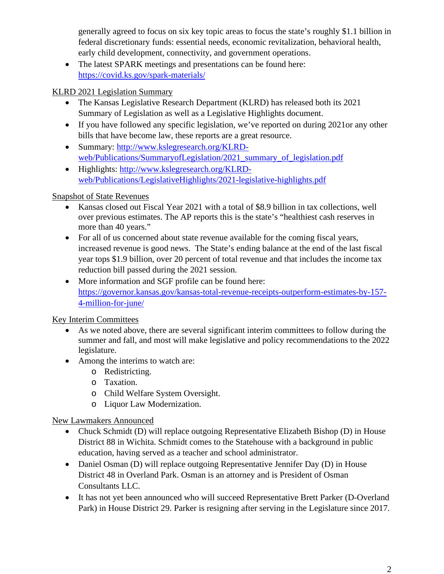generally agreed to focus on six key topic areas to focus the state's roughly \$1.1 billion in federal discretionary funds: essential needs, economic revitalization, behavioral health, early child development, connectivity, and government operations.

• The latest SPARK meetings and presentations can be found here: <https://covid.ks.gov/spark-materials/>

## KLRD 2021 Legislation Summary

- The Kansas Legislative Research Department (KLRD) has released both its 2021 Summary of Legislation as well as a Legislative Highlights document.
- If you have followed any specific legislation, we've reported on during 2021or any other bills that have become law, these reports are a great resource.
- Summary: [http://www.kslegresearch.org/KLRD](http://www.kslegresearch.org/KLRD-web/Publications/SummaryofLegislation/2021_summary_of_legislation.pdf)[web/Publications/SummaryofLegislation/2021\\_summary\\_of\\_legislation.pdf](http://www.kslegresearch.org/KLRD-web/Publications/SummaryofLegislation/2021_summary_of_legislation.pdf)
- Highlights: [http://www.kslegresearch.org/KLRD](http://www.kslegresearch.org/KLRD-web/Publications/LegislativeHighlights/2021-legislative-highlights.pdf)[web/Publications/LegislativeHighlights/2021-legislative-highlights.pdf](http://www.kslegresearch.org/KLRD-web/Publications/LegislativeHighlights/2021-legislative-highlights.pdf)

## Snapshot of State Revenues

- Kansas closed out Fiscal Year 2021 with a total of \$8.9 billion in tax collections, well over previous estimates. The AP reports this is the state's "healthiest cash reserves in more than 40 years."
- For all of us concerned about state revenue available for the coming fiscal years, increased revenue is good news. The State's ending balance at the end of the last fiscal year tops \$1.9 billion, over 20 percent of total revenue and that includes the income tax reduction bill passed during the 2021 session.
- More information and SGF profile can be found here: [https://governor.kansas.gov/kansas-total-revenue-receipts-outperform-estimates-by-157-](https://governor.kansas.gov/kansas-total-revenue-receipts-outperform-estimates-by-157-4-million-for-june/) [4-million-for-june/](https://governor.kansas.gov/kansas-total-revenue-receipts-outperform-estimates-by-157-4-million-for-june/)

## Key Interim Committees

- As we noted above, there are several significant interim committees to follow during the summer and fall, and most will make legislative and policy recommendations to the 2022 legislature.
- Among the interims to watch are:
	- o Redistricting.
	- o Taxation.
	- o Child Welfare System Oversight.
	- o Liquor Law Modernization.

## New Lawmakers Announced

- Chuck Schmidt (D) will replace outgoing Representative Elizabeth Bishop (D) in House District 88 in Wichita. Schmidt comes to the Statehouse with a background in public education, having served as a teacher and school administrator.
- Daniel Osman (D) will replace outgoing Representative Jennifer Day (D) in House District 48 in Overland Park. Osman is an attorney and is President of Osman Consultants LLC.
- It has not yet been announced who will succeed Representative Brett Parker (D-Overland Park) in House District 29. Parker is resigning after serving in the Legislature since 2017.